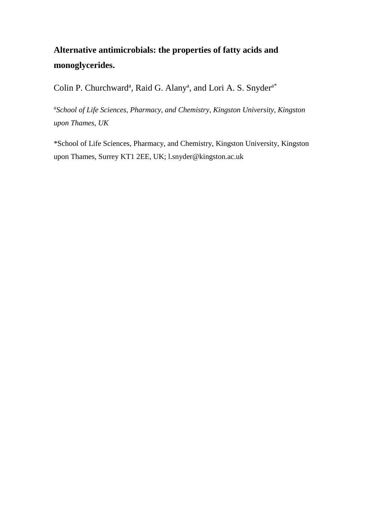# **Alternative antimicrobials: the properties of fatty acids and monoglycerides.**

Colin P. Churchward<sup>a</sup>, Raid G. Alany<sup>a</sup>, and Lori A. S. Snyder<sup>a\*</sup>

*a School of Life Sciences, Pharmacy, and Chemistry, Kingston University, Kingston upon Thames, UK*

\*School of Life Sciences, Pharmacy, and Chemistry, Kingston University, Kingston upon Thames, Surrey KT1 2EE, UK; l.snyder@kingston.ac.uk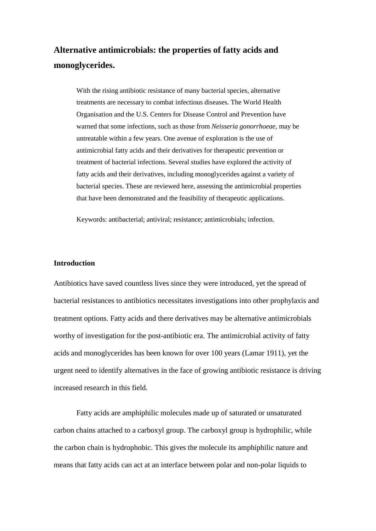# **Alternative antimicrobials: the properties of fatty acids and monoglycerides.**

With the rising antibiotic resistance of many bacterial species, alternative treatments are necessary to combat infectious diseases. The World Health Organisation and the U.S. Centers for Disease Control and Prevention have warned that some infections, such as those from *Neisseria gonorrhoeae*, may be untreatable within a few years. One avenue of exploration is the use of antimicrobial fatty acids and their derivatives for therapeutic prevention or treatment of bacterial infections. Several studies have explored the activity of fatty acids and their derivatives, including monoglycerides against a variety of bacterial species. These are reviewed here, assessing the antimicrobial properties that have been demonstrated and the feasibility of therapeutic applications.

Keywords: antibacterial; antiviral; resistance; antimicrobials; infection.

# **Introduction**

Antibiotics have saved countless lives since they were introduced, yet the spread of bacterial resistances to antibiotics necessitates investigations into other prophylaxis and treatment options. Fatty acids and there derivatives may be alternative antimicrobials worthy of investigation for the post-antibiotic era. The antimicrobial activity of fatty acids and monoglycerides has been known for over 100 years (Lamar 1911), yet the urgent need to identify alternatives in the face of growing antibiotic resistance is driving increased research in this field.

Fatty acids are amphiphilic molecules made up of saturated or unsaturated carbon chains attached to a carboxyl group. The carboxyl group is hydrophilic, while the carbon chain is hydrophobic. This gives the molecule its amphiphilic nature and means that fatty acids can act at an interface between polar and non-polar liquids to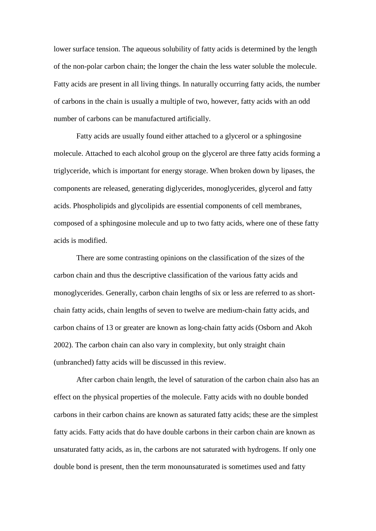lower surface tension. The aqueous solubility of fatty acids is determined by the length of the non-polar carbon chain; the longer the chain the less water soluble the molecule. Fatty acids are present in all living things. In naturally occurring fatty acids, the number of carbons in the chain is usually a multiple of two, however, fatty acids with an odd number of carbons can be manufactured artificially.

Fatty acids are usually found either attached to a glycerol or a sphingosine molecule. Attached to each alcohol group on the glycerol are three fatty acids forming a triglyceride, which is important for energy storage. When broken down by lipases, the components are released, generating diglycerides, monoglycerides, glycerol and fatty acids. Phospholipids and glycolipids are essential components of cell membranes, composed of a sphingosine molecule and up to two fatty acids, where one of these fatty acids is modified.

There are some contrasting opinions on the classification of the sizes of the carbon chain and thus the descriptive classification of the various fatty acids and monoglycerides. Generally, carbon chain lengths of six or less are referred to as shortchain fatty acids, chain lengths of seven to twelve are medium-chain fatty acids, and carbon chains of 13 or greater are known as long-chain fatty acids (Osborn and Akoh 2002). The carbon chain can also vary in complexity, but only straight chain (unbranched) fatty acids will be discussed in this review.

After carbon chain length, the level of saturation of the carbon chain also has an effect on the physical properties of the molecule. Fatty acids with no double bonded carbons in their carbon chains are known as saturated fatty acids; these are the simplest fatty acids. Fatty acids that do have double carbons in their carbon chain are known as unsaturated fatty acids, as in, the carbons are not saturated with hydrogens. If only one double bond is present, then the term monounsaturated is sometimes used and fatty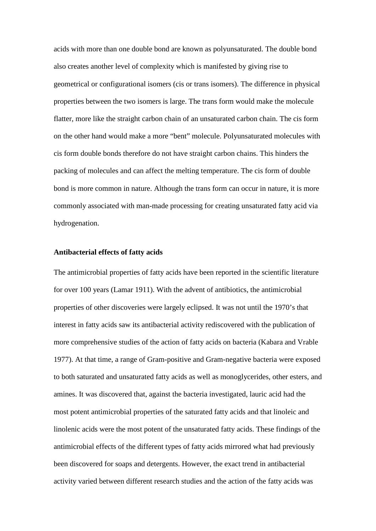acids with more than one double bond are known as polyunsaturated. The double bond also creates another level of complexity which is manifested by giving rise to geometrical or configurational isomers (cis or trans isomers). The difference in physical properties between the two isomers is large. The trans form would make the molecule flatter, more like the straight carbon chain of an unsaturated carbon chain. The cis form on the other hand would make a more "bent" molecule. Polyunsaturated molecules with cis form double bonds therefore do not have straight carbon chains. This hinders the packing of molecules and can affect the melting temperature. The cis form of double bond is more common in nature. Although the trans form can occur in nature, it is more commonly associated with man-made processing for creating unsaturated fatty acid via hydrogenation.

## **Antibacterial effects of fatty acids**

The antimicrobial properties of fatty acids have been reported in the scientific literature for over 100 years (Lamar 1911). With the advent of antibiotics, the antimicrobial properties of other discoveries were largely eclipsed. It was not until the 1970's that interest in fatty acids saw its antibacterial activity rediscovered with the publication of more comprehensive studies of the action of fatty acids on bacteria (Kabara and Vrable 1977). At that time, a range of Gram-positive and Gram-negative bacteria were exposed to both saturated and unsaturated fatty acids as well as monoglycerides, other esters, and amines. It was discovered that, against the bacteria investigated, lauric acid had the most potent antimicrobial properties of the saturated fatty acids and that linoleic and linolenic acids were the most potent of the unsaturated fatty acids. These findings of the antimicrobial effects of the different types of fatty acids mirrored what had previously been discovered for soaps and detergents. However, the exact trend in antibacterial activity varied between different research studies and the action of the fatty acids was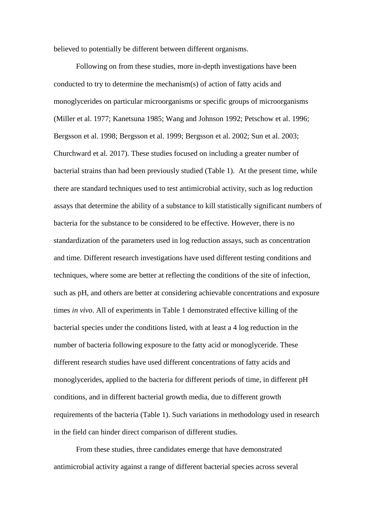believed to potentially be different between different organisms.

Following on from these studies, more in-depth investigations have been conducted to try to determine the mechanism(s) of action of fatty acids and monoglycerides on particular microorganisms or specific groups of microorganisms (Miller et al. 1977; Kanetsuna 1985; Wang and Johnson 1992; Petschow et al. 1996; Bergsson et al. 1998; Bergsson et al. 1999; Bergsson et al. 2002; Sun et al. 2003; Churchward et al. 2017). These studies focused on including a greater number of bacterial strains than had been previously studied (Table 1). At the present time, while there are standard techniques used to test antimicrobial activity, such as log reduction assays that determine the ability of a substance to kill statistically significant numbers of bacteria for the substance to be considered to be effective. However, there is no standardization of the parameters used in log reduction assays, such as concentration and time. Different research investigations have used different testing conditions and techniques, where some are better at reflecting the conditions of the site of infection, such as pH, and others are better at considering achievable concentrations and exposure times *in vivo*. All of experiments in Table 1 demonstrated effective killing of the bacterial species under the conditions listed, with at least a 4 log reduction in the number of bacteria following exposure to the fatty acid or monoglyceride. These different research studies have used different concentrations of fatty acids and monoglycerides, applied to the bacteria for different periods of time, in different pH conditions, and in different bacterial growth media, due to different growth requirements of the bacteria (Table 1). Such variations in methodology used in research in the field can hinder direct comparison of different studies.

From these studies, three candidates emerge that have demonstrated antimicrobial activity against a range of different bacterial species across several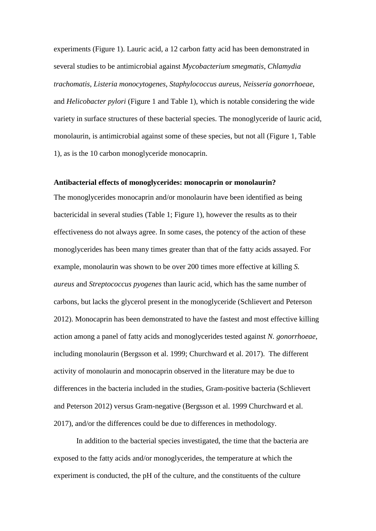experiments (Figure 1). Lauric acid, a 12 carbon fatty acid has been demonstrated in several studies to be antimicrobial against *Mycobacterium smegmatis*, *Chlamydia trachomatis*, *Listeria monocytogenes*, *Staphylococcus aureus*, *Neisseria gonorrhoeae*, and *Helicobacter pylori* (Figure 1 and Table 1), which is notable considering the wide variety in surface structures of these bacterial species. The monoglyceride of lauric acid, monolaurin, is antimicrobial against some of these species, but not all (Figure 1, Table 1), as is the 10 carbon monoglyceride monocaprin.

# **Antibacterial effects of monoglycerides: monocaprin or monolaurin?**

The monoglycerides monocaprin and/or monolaurin have been identified as being bactericidal in several studies (Table 1; Figure 1), however the results as to their effectiveness do not always agree. In some cases, the potency of the action of these monoglycerides has been many times greater than that of the fatty acids assayed. For example, monolaurin was shown to be over 200 times more effective at killing *S. aureus* and *Streptococcus pyogenes* than lauric acid, which has the same number of carbons, but lacks the glycerol present in the monoglyceride (Schlievert and Peterson 2012). Monocaprin has been demonstrated to have the fastest and most effective killing action among a panel of fatty acids and monoglycerides tested against *N. gonorrhoeae*, including monolaurin (Bergsson et al. 1999; Churchward et al. 2017). The different activity of monolaurin and monocaprin observed in the literature may be due to differences in the bacteria included in the studies, Gram-positive bacteria (Schlievert and Peterson 2012) versus Gram-negative (Bergsson et al. 1999 Churchward et al. 2017), and/or the differences could be due to differences in methodology.

In addition to the bacterial species investigated, the time that the bacteria are exposed to the fatty acids and/or monoglycerides, the temperature at which the experiment is conducted, the pH of the culture, and the constituents of the culture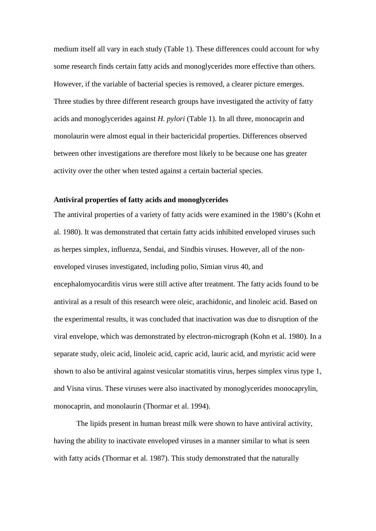medium itself all vary in each study (Table 1). These differences could account for why some research finds certain fatty acids and monoglycerides more effective than others. However, if the variable of bacterial species is removed, a clearer picture emerges. Three studies by three different research groups have investigated the activity of fatty acids and monoglycerides against *H. pylori* (Table 1). In all three, monocaprin and monolaurin were almost equal in their bactericidal properties. Differences observed between other investigations are therefore most likely to be because one has greater activity over the other when tested against a certain bacterial species.

#### **Antiviral properties of fatty acids and monoglycerides**

The antiviral properties of a variety of fatty acids were examined in the 1980's (Kohn et al. 1980). It was demonstrated that certain fatty acids inhibited enveloped viruses such as herpes simplex, influenza, Sendai, and Sindbis viruses. However, all of the nonenveloped viruses investigated, including polio, Simian virus 40, and encephalomyocarditis virus were still active after treatment. The fatty acids found to be antiviral as a result of this research were oleic, arachidonic, and linoleic acid. Based on the experimental results, it was concluded that inactivation was due to disruption of the viral envelope, which was demonstrated by electron-micrograph (Kohn et al. 1980). In a separate study, oleic acid, linoleic acid, capric acid, lauric acid, and myristic acid were shown to also be antiviral against vesicular stomatitis virus, herpes simplex virus type 1, and Visna virus. These viruses were also inactivated by monoglycerides monocaprylin, monocaprin, and monolaurin (Thormar et al. 1994).

The lipids present in human breast milk were shown to have antiviral activity, having the ability to inactivate enveloped viruses in a manner similar to what is seen with fatty acids (Thormar et al. 1987). This study demonstrated that the naturally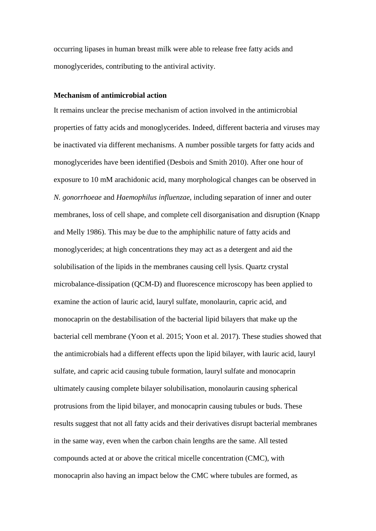occurring lipases in human breast milk were able to release free fatty acids and monoglycerides, contributing to the antiviral activity.

# **Mechanism of antimicrobial action**

It remains unclear the precise mechanism of action involved in the antimicrobial properties of fatty acids and monoglycerides. Indeed, different bacteria and viruses may be inactivated via different mechanisms. A number possible targets for fatty acids and monoglycerides have been identified (Desbois and Smith 2010). After one hour of exposure to 10 mM arachidonic acid, many morphological changes can be observed in *N. gonorrhoeae* and *Haemophilus influenzae*, including separation of inner and outer membranes, loss of cell shape, and complete cell disorganisation and disruption (Knapp and Melly 1986). This may be due to the amphiphilic nature of fatty acids and monoglycerides; at high concentrations they may act as a detergent and aid the solubilisation of the lipids in the membranes causing cell lysis. Quartz crystal microbalance-dissipation (QCM-D) and fluorescence microscopy has been applied to examine the action of lauric acid, lauryl sulfate, monolaurin, capric acid, and monocaprin on the destabilisation of the bacterial lipid bilayers that make up the bacterial cell membrane (Yoon et al. 2015; Yoon et al. 2017). These studies showed that the antimicrobials had a different effects upon the lipid bilayer, with lauric acid, lauryl sulfate, and capric acid causing tubule formation, lauryl sulfate and monocaprin ultimately causing complete bilayer solubilisation, monolaurin causing spherical protrusions from the lipid bilayer, and monocaprin causing tubules or buds. These results suggest that not all fatty acids and their derivatives disrupt bacterial membranes in the same way, even when the carbon chain lengths are the same. All tested compounds acted at or above the critical micelle concentration (CMC), with monocaprin also having an impact below the CMC where tubules are formed, as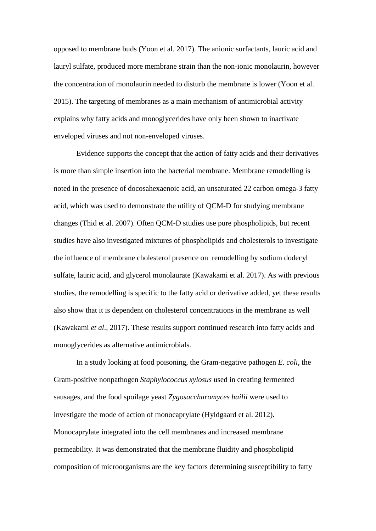opposed to membrane buds (Yoon et al. 2017). The anionic surfactants, lauric acid and lauryl sulfate, produced more membrane strain than the non-ionic monolaurin, however the concentration of monolaurin needed to disturb the membrane is lower (Yoon et al. 2015). The targeting of membranes as a main mechanism of antimicrobial activity explains why fatty acids and monoglycerides have only been shown to inactivate enveloped viruses and not non-enveloped viruses.

Evidence supports the concept that the action of fatty acids and their derivatives is more than simple insertion into the bacterial membrane. Membrane remodelling is noted in the presence of docosahexaenoic acid, an unsaturated 22 carbon omega-3 fatty acid, which was used to demonstrate the utility of QCM-D for studying membrane changes (Thid et al. 2007). Often QCM-D studies use pure phospholipids, but recent studies have also investigated mixtures of phospholipids and cholesterols to investigate the influence of membrane cholesterol presence on remodelling by sodium dodecyl sulfate, lauric acid, and glycerol monolaurate (Kawakami et al. 2017). As with previous studies, the remodelling is specific to the fatty acid or derivative added, yet these results also show that it is dependent on cholesterol concentrations in the membrane as well (Kawakami *et al*., 2017). These results support continued research into fatty acids and monoglycerides as alternative antimicrobials.

In a study looking at food poisoning, the Gram-negative pathogen *E. coli*, the Gram-positive nonpathogen *Staphylococcus xylosus* used in creating fermented sausages, and the food spoilage yeast *Zygosaccharomyces bailii* were used to investigate the mode of action of monocaprylate (Hyldgaard et al. 2012). Monocaprylate integrated into the cell membranes and increased membrane permeability. It was demonstrated that the membrane fluidity and phospholipid composition of microorganisms are the key factors determining susceptibility to fatty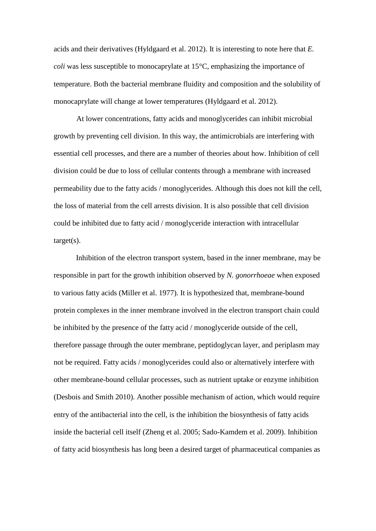acids and their derivatives (Hyldgaard et al. 2012). It is interesting to note here that *E. coli* was less susceptible to monocaprylate at 15°C, emphasizing the importance of temperature. Both the bacterial membrane fluidity and composition and the solubility of monocaprylate will change at lower temperatures (Hyldgaard et al. 2012).

At lower concentrations, fatty acids and monoglycerides can inhibit microbial growth by preventing cell division. In this way, the antimicrobials are interfering with essential cell processes, and there are a number of theories about how. Inhibition of cell division could be due to loss of cellular contents through a membrane with increased permeability due to the fatty acids / monoglycerides. Although this does not kill the cell, the loss of material from the cell arrests division. It is also possible that cell division could be inhibited due to fatty acid / monoglyceride interaction with intracellular target(s).

Inhibition of the electron transport system, based in the inner membrane, may be responsible in part for the growth inhibition observed by *N. gonorrhoeae* when exposed to various fatty acids (Miller et al. 1977). It is hypothesized that, membrane-bound protein complexes in the inner membrane involved in the electron transport chain could be inhibited by the presence of the fatty acid / monoglyceride outside of the cell, therefore passage through the outer membrane, peptidoglycan layer, and periplasm may not be required. Fatty acids / monoglycerides could also or alternatively interfere with other membrane-bound cellular processes, such as nutrient uptake or enzyme inhibition (Desbois and Smith 2010). Another possible mechanism of action, which would require entry of the antibacterial into the cell, is the inhibition the biosynthesis of fatty acids inside the bacterial cell itself (Zheng et al. 2005; Sado-Kamdem et al. 2009). Inhibition of fatty acid biosynthesis has long been a desired target of pharmaceutical companies as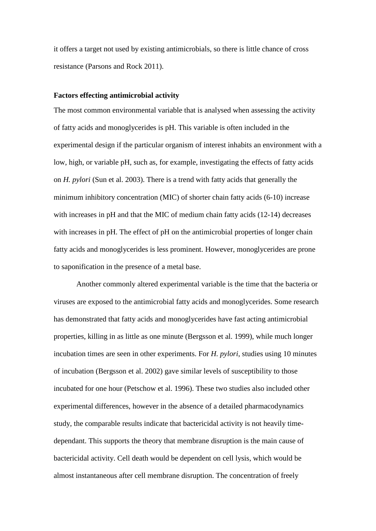it offers a target not used by existing antimicrobials, so there is little chance of cross resistance (Parsons and Rock 2011).

### **Factors effecting antimicrobial activity**

The most common environmental variable that is analysed when assessing the activity of fatty acids and monoglycerides is pH. This variable is often included in the experimental design if the particular organism of interest inhabits an environment with a low, high, or variable pH, such as, for example, investigating the effects of fatty acids on *H. pylori* (Sun et al. 2003). There is a trend with fatty acids that generally the minimum inhibitory concentration (MIC) of shorter chain fatty acids (6-10) increase with increases in pH and that the MIC of medium chain fatty acids (12-14) decreases with increases in pH. The effect of pH on the antimicrobial properties of longer chain fatty acids and monoglycerides is less prominent. However, monoglycerides are prone to saponification in the presence of a metal base.

Another commonly altered experimental variable is the time that the bacteria or viruses are exposed to the antimicrobial fatty acids and monoglycerides. Some research has demonstrated that fatty acids and monoglycerides have fast acting antimicrobial properties, killing in as little as one minute (Bergsson et al. 1999), while much longer incubation times are seen in other experiments. For *H. pylori*, studies using 10 minutes of incubation (Bergsson et al. 2002) gave similar levels of susceptibility to those incubated for one hour (Petschow et al. 1996). These two studies also included other experimental differences, however in the absence of a detailed pharmacodynamics study, the comparable results indicate that bactericidal activity is not heavily timedependant. This supports the theory that membrane disruption is the main cause of bactericidal activity. Cell death would be dependent on cell lysis, which would be almost instantaneous after cell membrane disruption. The concentration of freely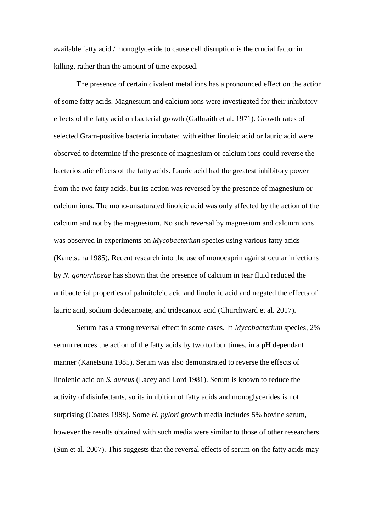available fatty acid / monoglyceride to cause cell disruption is the crucial factor in killing, rather than the amount of time exposed.

The presence of certain divalent metal ions has a pronounced effect on the action of some fatty acids. Magnesium and calcium ions were investigated for their inhibitory effects of the fatty acid on bacterial growth (Galbraith et al. 1971). Growth rates of selected Gram-positive bacteria incubated with either linoleic acid or lauric acid were observed to determine if the presence of magnesium or calcium ions could reverse the bacteriostatic effects of the fatty acids. Lauric acid had the greatest inhibitory power from the two fatty acids, but its action was reversed by the presence of magnesium or calcium ions. The mono-unsaturated linoleic acid was only affected by the action of the calcium and not by the magnesium. No such reversal by magnesium and calcium ions was observed in experiments on *Mycobacterium* species using various fatty acids (Kanetsuna 1985). Recent research into the use of monocaprin against ocular infections by *N. gonorrhoeae* has shown that the presence of calcium in tear fluid reduced the antibacterial properties of palmitoleic acid and linolenic acid and negated the effects of lauric acid, sodium dodecanoate, and tridecanoic acid (Churchward et al. 2017).

Serum has a strong reversal effect in some cases. In *Mycobacterium* species, 2% serum reduces the action of the fatty acids by two to four times, in a pH dependant manner (Kanetsuna 1985). Serum was also demonstrated to reverse the effects of linolenic acid on *S. aureus* (Lacey and Lord 1981). Serum is known to reduce the activity of disinfectants, so its inhibition of fatty acids and monoglycerides is not surprising (Coates 1988). Some *H. pylori* growth media includes 5% bovine serum, however the results obtained with such media were similar to those of other researchers (Sun et al. 2007). This suggests that the reversal effects of serum on the fatty acids may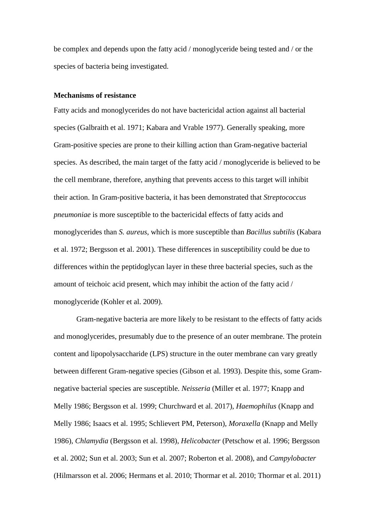be complex and depends upon the fatty acid / monoglyceride being tested and / or the species of bacteria being investigated.

# **Mechanisms of resistance**

Fatty acids and monoglycerides do not have bactericidal action against all bacterial species (Galbraith et al. 1971; Kabara and Vrable 1977). Generally speaking, more Gram-positive species are prone to their killing action than Gram-negative bacterial species. As described, the main target of the fatty acid / monoglyceride is believed to be the cell membrane, therefore, anything that prevents access to this target will inhibit their action. In Gram-positive bacteria, it has been demonstrated that *Streptococcus pneumoniae* is more susceptible to the bactericidal effects of fatty acids and monoglycerides than *S. aureus*, which is more susceptible than *Bacillus subtilis* (Kabara et al. 1972; Bergsson et al. 2001). These differences in susceptibility could be due to differences within the peptidoglycan layer in these three bacterial species, such as the amount of teichoic acid present, which may inhibit the action of the fatty acid / monoglyceride (Kohler et al. 2009).

Gram-negative bacteria are more likely to be resistant to the effects of fatty acids and monoglycerides, presumably due to the presence of an outer membrane. The protein content and lipopolysaccharide (LPS) structure in the outer membrane can vary greatly between different Gram-negative species (Gibson et al. 1993). Despite this, some Gramnegative bacterial species are susceptible. *Neisseria* (Miller et al. 1977; Knapp and Melly 1986; Bergsson et al. 1999; Churchward et al. 2017), *Haemophilus* (Knapp and Melly 1986; Isaacs et al. 1995; Schlievert PM, Peterson)*, Moraxella* (Knapp and Melly 1986)*, Chlamydia* (Bergsson et al. 1998), *Helicobacter* (Petschow et al. 1996; Bergsson et al. 2002; Sun et al. 2003; Sun et al. 2007; Roberton et al. 2008)*,* and *Campylobacter* (Hilmarsson et al. 2006; Hermans et al. 2010; Thormar et al. 2010; Thormar et al. 2011)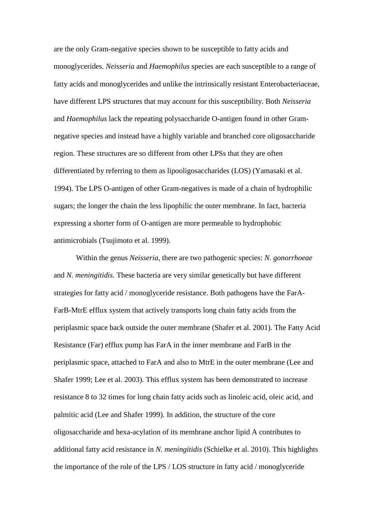are the only Gram-negative species shown to be susceptible to fatty acids and monoglycerides. *Neisseria* and *Haemophilus* species are each susceptible to a range of fatty acids and monoglycerides and unlike the intrinsically resistant Enterobacteriaceae, have different LPS structures that may account for this susceptibility. Both *Neisseria*  and *Haemophilus* lack the repeating polysaccharide O-antigen found in other Gramnegative species and instead have a highly variable and branched core oligosaccharide region. These structures are so different from other LPSs that they are often differentiated by referring to them as lipooligosaccharides (LOS) (Yamasaki et al. 1994). The LPS O-antigen of other Gram-negatives is made of a chain of hydrophilic sugars; the longer the chain the less lipophilic the outer membrane. In fact, bacteria expressing a shorter form of O-antigen are more permeable to hydrophobic antimicrobials (Tsujimoto et al. 1999).

Within the genus *Neisseria*, there are two pathogenic species: *N. gonorrhoeae* and *N. meningitidis*. These bacteria are very similar genetically but have different strategies for fatty acid / monoglyceride resistance. Both pathogens have the FarA-FarB-MtrE efflux system that actively transports long chain fatty acids from the periplasmic space back outside the outer membrane (Shafer et al. 2001). The Fatty Acid Resistance (Far) efflux pump has FarA in the inner membrane and FarB in the periplasmic space, attached to FarA and also to MtrE in the outer membrane (Lee and Shafer 1999; Lee et al. 2003). This efflux system has been demonstrated to increase resistance 8 to 32 times for long chain fatty acids such as linoleic acid, oleic acid, and palmitic acid (Lee and Shafer 1999). In addition, the structure of the core oligosaccharide and hexa-acylation of its membrane anchor lipid A contributes to additional fatty acid resistance in *N. meningitidis* (Schielke et al. 2010). This highlights the importance of the role of the LPS / LOS structure in fatty acid / monoglyceride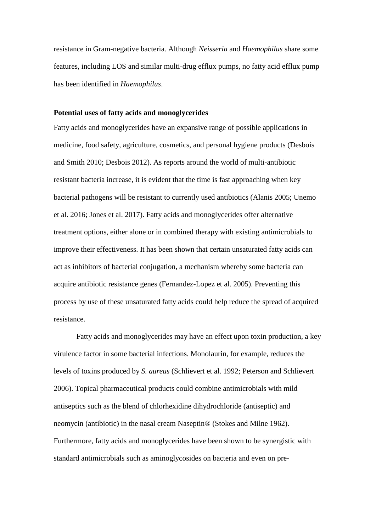resistance in Gram-negative bacteria. Although *Neisseria* and *Haemophilus* share some features, including LOS and similar multi-drug efflux pumps, no fatty acid efflux pump has been identified in *Haemophilus*.

### **Potential uses of fatty acids and monoglycerides**

Fatty acids and monoglycerides have an expansive range of possible applications in medicine, food safety, agriculture, cosmetics, and personal hygiene products (Desbois and Smith 2010; Desbois 2012). As reports around the world of multi-antibiotic resistant bacteria increase, it is evident that the time is fast approaching when key bacterial pathogens will be resistant to currently used antibiotics (Alanis 2005; Unemo et al. 2016; Jones et al. 2017). Fatty acids and monoglycerides offer alternative treatment options, either alone or in combined therapy with existing antimicrobials to improve their effectiveness. It has been shown that certain unsaturated fatty acids can act as inhibitors of bacterial conjugation, a mechanism whereby some bacteria can acquire antibiotic resistance genes (Fernandez-Lopez et al. 2005). Preventing this process by use of these unsaturated fatty acids could help reduce the spread of acquired resistance.

Fatty acids and monoglycerides may have an effect upon toxin production, a key virulence factor in some bacterial infections. Monolaurin, for example, reduces the levels of toxins produced by *S. aureus* (Schlievert et al. 1992; Peterson and Schlievert 2006). Topical pharmaceutical products could combine antimicrobials with mild antiseptics such as the blend of chlorhexidine dihydrochloride (antiseptic) and neomycin (antibiotic) in the nasal cream Naseptin® (Stokes and Milne 1962). Furthermore, fatty acids and monoglycerides have been shown to be synergistic with standard antimicrobials such as aminoglycosides on bacteria and even on pre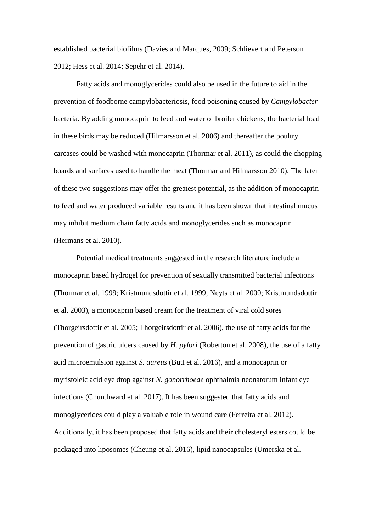established bacterial biofilms (Davies and Marques, 2009; Schlievert and Peterson 2012; Hess et al. 2014; Sepehr et al. 2014).

Fatty acids and monoglycerides could also be used in the future to aid in the prevention of foodborne campylobacteriosis, food poisoning caused by *Campylobacter*  bacteria. By adding monocaprin to feed and water of broiler chickens, the bacterial load in these birds may be reduced (Hilmarsson et al. 2006) and thereafter the poultry carcases could be washed with monocaprin (Thormar et al. 2011), as could the chopping boards and surfaces used to handle the meat (Thormar and Hilmarsson 2010). The later of these two suggestions may offer the greatest potential, as the addition of monocaprin to feed and water produced variable results and it has been shown that intestinal mucus may inhibit medium chain fatty acids and monoglycerides such as monocaprin (Hermans et al. 2010).

Potential medical treatments suggested in the research literature include a monocaprin based hydrogel for prevention of sexually transmitted bacterial infections (Thormar et al. 1999; Kristmundsdottir et al. 1999; Neyts et al. 2000; Kristmundsdottir et al. 2003), a monocaprin based cream for the treatment of viral cold sores (Thorgeirsdottir et al. 2005; Thorgeirsdottir et al. 2006), the use of fatty acids for the prevention of gastric ulcers caused by *H. pylori* (Roberton et al. 2008), the use of a fatty acid microemulsion against *S. aureus* (Butt et al. 2016), and a monocaprin or myristoleic acid eye drop against *N. gonorrhoeae* ophthalmia neonatorum infant eye infections (Churchward et al. 2017). It has been suggested that fatty acids and monoglycerides could play a valuable role in wound care (Ferreira et al. 2012). Additionally, it has been proposed that fatty acids and their cholesteryl esters could be packaged into liposomes (Cheung et al. 2016), lipid nanocapsules (Umerska et al.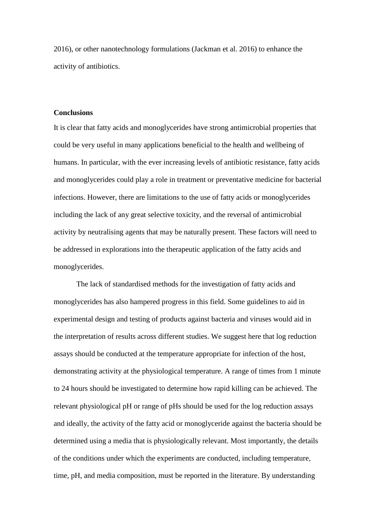2016), or other nanotechnology formulations (Jackman et al. 2016) to enhance the activity of antibiotics.

### **Conclusions**

It is clear that fatty acids and monoglycerides have strong antimicrobial properties that could be very useful in many applications beneficial to the health and wellbeing of humans. In particular, with the ever increasing levels of antibiotic resistance, fatty acids and monoglycerides could play a role in treatment or preventative medicine for bacterial infections. However, there are limitations to the use of fatty acids or monoglycerides including the lack of any great selective toxicity, and the reversal of antimicrobial activity by neutralising agents that may be naturally present. These factors will need to be addressed in explorations into the therapeutic application of the fatty acids and monoglycerides.

The lack of standardised methods for the investigation of fatty acids and monoglycerides has also hampered progress in this field. Some guidelines to aid in experimental design and testing of products against bacteria and viruses would aid in the interpretation of results across different studies. We suggest here that log reduction assays should be conducted at the temperature appropriate for infection of the host, demonstrating activity at the physiological temperature. A range of times from 1 minute to 24 hours should be investigated to determine how rapid killing can be achieved. The relevant physiological pH or range of pHs should be used for the log reduction assays and ideally, the activity of the fatty acid or monoglyceride against the bacteria should be determined using a media that is physiologically relevant. Most importantly, the details of the conditions under which the experiments are conducted, including temperature, time, pH, and media composition, must be reported in the literature. By understanding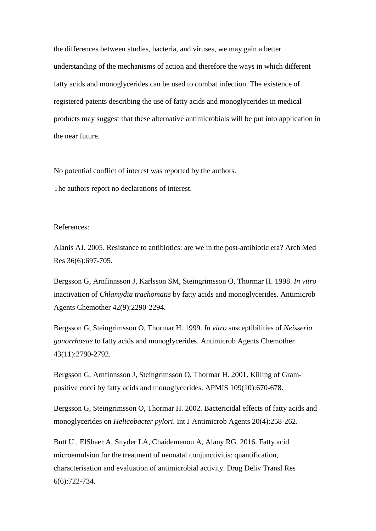the differences between studies, bacteria, and viruses, we may gain a better understanding of the mechanisms of action and therefore the ways in which different fatty acids and monoglycerides can be used to combat infection. The existence of registered patents describing the use of fatty acids and monoglycerides in medical products may suggest that these alternative antimicrobials will be put into application in the near future.

No potential conflict of interest was reported by the authors.

The authors report no declarations of interest.

### References:

Alanis AJ. 2005. Resistance to antibiotics: are we in the post-antibiotic era? Arch Med Res 36(6):697-705.

Bergsson G, Arnfinnsson J, Karlsson SM, Steingrimsson O, Thormar H. 1998. *In vitro* inactivation of *Chlamydia trachomatis* by fatty acids and monoglycerides. Antimicrob Agents Chemother 42(9):2290-2294.

Bergsson G, Steingrimsson O, Thormar H. 1999. *In vitro* susceptibilities of *Neisseria gonorrhoeae* to fatty acids and monoglycerides. Antimicrob Agents Chemother 43(11):2790-2792.

Bergsson G, Arnfinnsson J, Steingrimsson O, Thormar H. 2001. Killing of Grampositive cocci by fatty acids and monoglycerides. APMIS 109(10):670-678.

Bergsson G, Steingrimsson O, Thormar H. 2002. Bactericidal effects of fatty acids and monoglycerides on *Helicobacter pylori*. Int J Antimicrob Agents 20(4):258-262.

Butt U , ElShaer A, Snyder LA, Chaidemenou A, Alany RG. 2016. Fatty acid microemulsion for the treatment of neonatal conjunctivitis: quantification, characterisation and evaluation of antimicrobial activity. Drug Deliv Transl Res 6(6):722-734.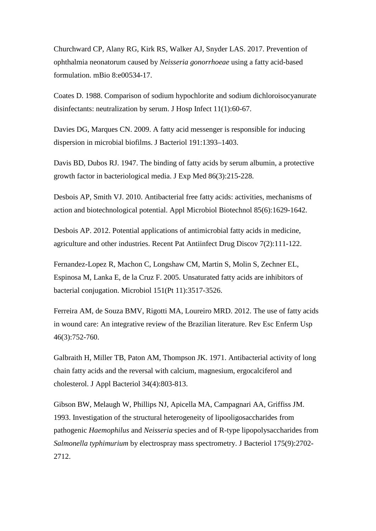Churchward CP, Alany RG, Kirk RS, Walker AJ, Snyder LAS. 2017. Prevention of ophthalmia neonatorum caused by *Neisseria gonorrhoeae* using a fatty acid-based formulation. mBio 8:e00534-17.

Coates D. 1988. Comparison of sodium hypochlorite and sodium dichloroisocyanurate disinfectants: neutralization by serum. J Hosp Infect 11(1):60-67.

Davies DG, Marques CN. 2009. A fatty acid messenger is responsible for inducing dispersion in microbial biofilms. J Bacteriol 191:1393–1403.

Davis BD, Dubos RJ. 1947. The binding of fatty acids by serum albumin, a protective growth factor in bacteriological media. J Exp Med 86(3):215-228.

Desbois AP, Smith VJ. 2010. Antibacterial free fatty acids: activities, mechanisms of action and biotechnological potential. Appl Microbiol Biotechnol 85(6):1629-1642.

Desbois AP. 2012. Potential applications of antimicrobial fatty acids in medicine, agriculture and other industries. Recent Pat Antiinfect Drug Discov 7(2):111-122.

Fernandez-Lopez R, Machon C, Longshaw CM, Martin S, Molin S, Zechner EL, Espinosa M, Lanka E, de la Cruz F. 2005. Unsaturated fatty acids are inhibitors of bacterial conjugation. Microbiol 151(Pt 11):3517-3526.

Ferreira AM, de Souza BMV, Rigotti MA, Loureiro MRD. 2012. The use of fatty acids in wound care: An integrative review of the Brazilian literature. Rev Esc Enferm Usp 46(3):752-760.

Galbraith H, Miller TB, Paton AM, Thompson JK. 1971. Antibacterial activity of long chain fatty acids and the reversal with calcium, magnesium, ergocalciferol and cholesterol. J Appl Bacteriol 34(4):803-813.

Gibson BW, Melaugh W, Phillips NJ, Apicella MA, Campagnari AA, Griffiss JM. 1993. Investigation of the structural heterogeneity of lipooligosaccharides from pathogenic *Haemophilus* and *Neisseria* species and of R-type lipopolysaccharides from *Salmonella typhimurium* by electrospray mass spectrometry. J Bacteriol 175(9):2702- 2712.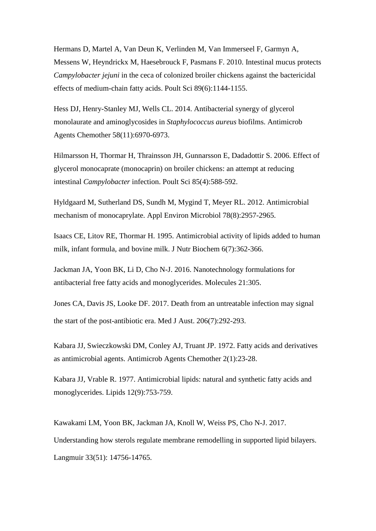Hermans D, Martel A, Van Deun K, Verlinden M, Van Immerseel F, Garmyn A, Messens W, Heyndrickx M, Haesebrouck F, Pasmans F. 2010. Intestinal mucus protects *Campylobacter jejuni* in the ceca of colonized broiler chickens against the bactericidal effects of medium-chain fatty acids. Poult Sci 89(6):1144-1155.

Hess DJ, Henry-Stanley MJ, Wells CL. 2014. Antibacterial synergy of glycerol monolaurate and aminoglycosides in *Staphylococcus aureus* biofilms. Antimicrob Agents Chemother 58(11):6970-6973.

Hilmarsson H, Thormar H, Thrainsson JH, Gunnarsson E, Dadadottir S. 2006. Effect of glycerol monocaprate (monocaprin) on broiler chickens: an attempt at reducing intestinal *Campylobacter* infection. Poult Sci 85(4):588-592.

Hyldgaard M, Sutherland DS, Sundh M, Mygind T, Meyer RL. 2012. Antimicrobial mechanism of monocaprylate. Appl Environ Microbiol 78(8):2957-2965.

Isaacs CE, Litov RE, Thormar H. 1995. Antimicrobial activity of lipids added to human milk, infant formula, and bovine milk. J Nutr Biochem 6(7):362-366.

Jackman JA, Yoon BK, Li D, Cho N-J. 2016. Nanotechnology formulations for antibacterial free fatty acids and monoglycerides. Molecules 21:305.

Jones CA, Davis JS, Looke DF. 2017. Death from an untreatable infection may signal the start of the post-antibiotic era. Med J Aust. 206(7):292-293.

Kabara JJ, Swieczkowski DM, Conley AJ, Truant JP. 1972. Fatty acids and derivatives as antimicrobial agents. Antimicrob Agents Chemother 2(1):23-28.

Kabara JJ, Vrable R. 1977. Antimicrobial lipids: natural and synthetic fatty acids and monoglycerides. Lipids 12(9):753-759.

Kawakami LM, Yoon BK, Jackman JA, Knoll W, Weiss PS, Cho N-J. 2017. Understanding how sterols regulate membrane remodelling in supported lipid bilayers. Langmuir 33(51): 14756-14765.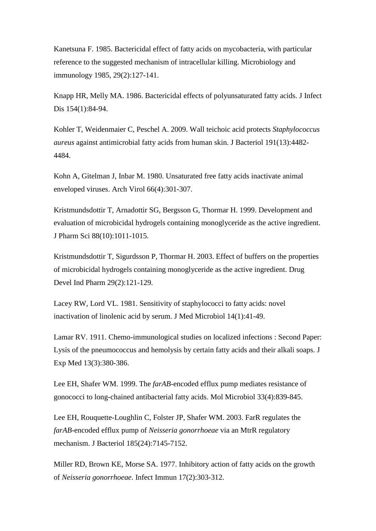Kanetsuna F. 1985. Bactericidal effect of fatty acids on mycobacteria, with particular reference to the suggested mechanism of intracellular killing. Microbiology and immunology 1985, 29(2):127-141.

Knapp HR, Melly MA. 1986. Bactericidal effects of polyunsaturated fatty acids. J Infect Dis 154(1):84-94.

Kohler T, Weidenmaier C, Peschel A. 2009. Wall teichoic acid protects *Staphylococcus aureus* against antimicrobial fatty acids from human skin. J Bacteriol 191(13):4482- 4484.

Kohn A, Gitelman J, Inbar M. 1980. Unsaturated free fatty acids inactivate animal enveloped viruses. Arch Virol 66(4):301-307.

Kristmundsdottir T, Arnadottir SG, Bergsson G, Thormar H. 1999. Development and evaluation of microbicidal hydrogels containing monoglyceride as the active ingredient. J Pharm Sci 88(10):1011-1015.

Kristmundsdottir T, Sigurdsson P, Thormar H. 2003. Effect of buffers on the properties of microbicidal hydrogels containing monoglyceride as the active ingredient. Drug Devel Ind Pharm 29(2):121-129.

Lacey RW, Lord VL. 1981. Sensitivity of staphylococci to fatty acids: novel inactivation of linolenic acid by serum. J Med Microbiol 14(1):41-49.

Lamar RV. 1911. Chemo-immunological studies on localized infections : Second Paper: Lysis of the pneumococcus and hemolysis by certain fatty acids and their alkali soaps. J Exp Med 13(3):380-386.

Lee EH, Shafer WM. 1999. The *farAB*-encoded efflux pump mediates resistance of gonococci to long-chained antibacterial fatty acids. Mol Microbiol 33(4):839-845.

Lee EH, Rouquette-Loughlin C, Folster JP, Shafer WM. 2003. FarR regulates the *farAB*-encoded efflux pump of *Neisseria gonorrhoeae* via an MtrR regulatory mechanism. J Bacteriol 185(24):7145-7152.

Miller RD, Brown KE, Morse SA. 1977. Inhibitory action of fatty acids on the growth of *Neisseria gonorrhoeae*. Infect Immun 17(2):303-312.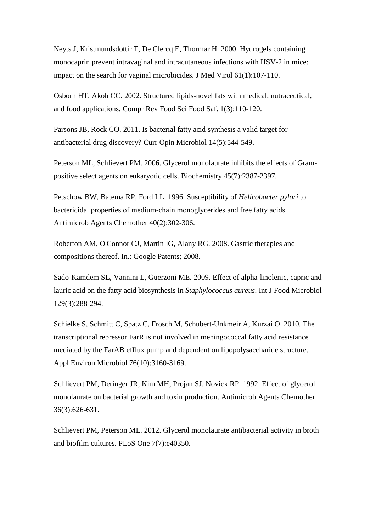Neyts J, Kristmundsdottir T, De Clercq E, Thormar H. 2000. Hydrogels containing monocaprin prevent intravaginal and intracutaneous infections with HSV-2 in mice: impact on the search for vaginal microbicides. J Med Virol 61(1):107-110.

Osborn HT, Akoh CC. 2002. Structured lipids-novel fats with medical, nutraceutical, and food applications. Compr Rev Food Sci Food Saf. 1(3):110-120.

Parsons JB, Rock CO. 2011. Is bacterial fatty acid synthesis a valid target for antibacterial drug discovery? Curr Opin Microbiol 14(5):544-549.

Peterson ML, Schlievert PM. 2006. Glycerol monolaurate inhibits the effects of Grampositive select agents on eukaryotic cells. Biochemistry 45(7):2387-2397.

Petschow BW, Batema RP, Ford LL. 1996. Susceptibility of *Helicobacter pylori* to bactericidal properties of medium-chain monoglycerides and free fatty acids. Antimicrob Agents Chemother 40(2):302-306.

Roberton AM, O'Connor CJ, Martin IG, Alany RG. 2008. Gastric therapies and compositions thereof. In.: Google Patents; 2008.

Sado-Kamdem SL, Vannini L, Guerzoni ME. 2009. Effect of alpha-linolenic, capric and lauric acid on the fatty acid biosynthesis in *Staphylococcus aureus*. Int J Food Microbiol 129(3):288-294.

Schielke S, Schmitt C, Spatz C, Frosch M, Schubert-Unkmeir A, Kurzai O. 2010. The transcriptional repressor FarR is not involved in meningococcal fatty acid resistance mediated by the FarAB efflux pump and dependent on lipopolysaccharide structure. Appl Environ Microbiol 76(10):3160-3169.

Schlievert PM, Deringer JR, Kim MH, Projan SJ, Novick RP. 1992. Effect of glycerol monolaurate on bacterial growth and toxin production. Antimicrob Agents Chemother 36(3):626-631.

Schlievert PM, Peterson ML. 2012. Glycerol monolaurate antibacterial activity in broth and biofilm cultures. PLoS One 7(7):e40350.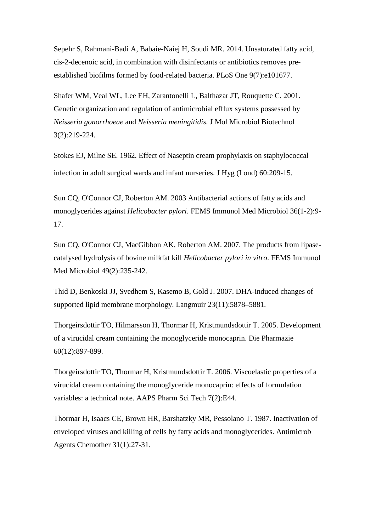Sepehr S, Rahmani-Badi A, Babaie-Naiej H, Soudi MR. 2014. Unsaturated fatty acid, cis-2-decenoic acid, in combination with disinfectants or antibiotics removes preestablished biofilms formed by food-related bacteria. PLoS One 9(7):e101677.

Shafer WM, Veal WL, Lee EH, Zarantonelli L, Balthazar JT, Rouquette C. 2001. Genetic organization and regulation of antimicrobial efflux systems possessed by *Neisseria gonorrhoeae* and *Neisseria meningitidis*. J Mol Microbiol Biotechnol 3(2):219-224.

Stokes EJ, Milne SE. 1962. Effect of Naseptin cream prophylaxis on staphylococcal infection in adult surgical wards and infant nurseries. J Hyg (Lond) 60:209-15.

Sun CQ, O'Connor CJ, Roberton AM. 2003 Antibacterial actions of fatty acids and monoglycerides against *Helicobacter pylori*. FEMS Immunol Med Microbiol 36(1-2):9- 17.

Sun CQ, O'Connor CJ, MacGibbon AK, Roberton AM. 2007. The products from lipasecatalysed hydrolysis of bovine milkfat kill *Helicobacter pylori in vitro*. FEMS Immunol Med Microbiol 49(2):235-242.

Thid D, Benkoski JJ, Svedhem S, Kasemo B, Gold J. 2007. DHA-induced changes of supported lipid membrane morphology. Langmuir 23(11):5878–5881.

Thorgeirsdottir TO, Hilmarsson H, Thormar H, Kristmundsdottir T. 2005. Development of a virucidal cream containing the monoglyceride monocaprin. Die Pharmazie 60(12):897-899.

Thorgeirsdottir TO, Thormar H, Kristmundsdottir T. 2006. Viscoelastic properties of a virucidal cream containing the monoglyceride monocaprin: effects of formulation variables: a technical note. AAPS Pharm Sci Tech 7(2):E44.

Thormar H, Isaacs CE, Brown HR, Barshatzky MR, Pessolano T. 1987. Inactivation of enveloped viruses and killing of cells by fatty acids and monoglycerides. Antimicrob Agents Chemother 31(1):27-31.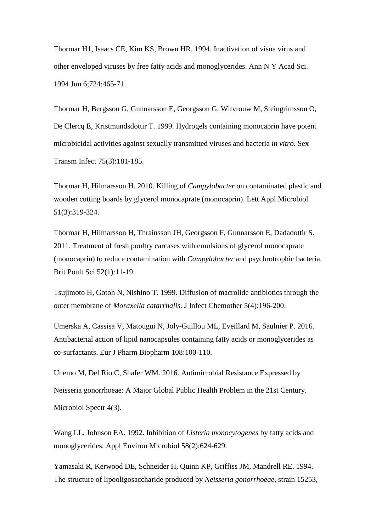Thormar H1, Isaacs CE, Kim KS, Brown HR. 1994. Inactivation of visna virus and other enveloped viruses by free fatty acids and monoglycerides. Ann N Y Acad Sci. 1994 Jun 6;724:465-71.

Thormar H, Bergsson G, Gunnarsson E, Georgsson G, Witvrouw M, Steingrimsson O, De Clercq E, Kristmundsdottir T. 1999. Hydrogels containing monocaprin have potent microbicidal activities against sexually transmitted viruses and bacteria *in vitro*. Sex Transm Infect 75(3):181-185.

Thormar H, Hilmarsson H. 2010. Killing of *Campylobacter* on contaminated plastic and wooden cutting boards by glycerol monocaprate (monocaprin). Lett Appl Microbiol 51(3):319-324.

Thormar H, Hilmarsson H, Thrainsson JH, Georgsson F, Gunnarsson E, Dadadottir S. 2011. Treatment of fresh poultry carcases with emulsions of glycerol monocaprate (monocaprin) to reduce contamination with *Campylobacter* and psychrotrophic bacteria. Brit Poult Sci 52(1):11-19.

Tsujimoto H, Gotoh N, Nishino T. 1999. Diffusion of macrolide antibiotics through the outer membrane of *Moraxella catarrhalis*. J Infect Chemother 5(4):196-200.

Umerska A, Cassisa V, Matougui N, Joly-Guillou ML, Eveillard M, Saulnier P. 2016. Antibacterial action of lipid nanocapsules containing fatty acids or monoglycerides as co-surfactants. Eur J Pharm Biopharm 108:100-110.

Unemo M, Del Rio C, Shafer WM. 2016. Antimicrobial Resistance Expressed by Neisseria gonorrhoeae: A Major Global Public Health Problem in the 21st Century. Microbiol Spectr 4(3).

Wang LL, Johnson EA. 1992. Inhibition of *Listeria monocytogenes* by fatty acids and monoglycerides. Appl Environ Microbiol 58(2):624-629.

Yamasaki R, Kerwood DE, Schneider H, Quinn KP, Griffiss JM, Mandrell RE. 1994. The structure of lipooligosaccharide produced by *Neisseria gonorrhoeae*, strain 15253,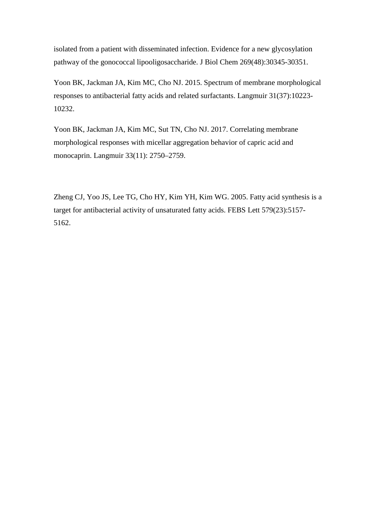isolated from a patient with disseminated infection. Evidence for a new glycosylation pathway of the gonococcal lipooligosaccharide. J Biol Chem 269(48):30345-30351.

Yoon BK, Jackman JA, Kim MC, Cho NJ. 2015. Spectrum of membrane morphological responses to antibacterial fatty acids and related surfactants. Langmuir 31(37):10223- 10232.

Yoon BK, Jackman JA, Kim MC, Sut TN, Cho NJ. 2017. Correlating membrane morphological responses with micellar aggregation behavior of capric acid and monocaprin. Langmuir 33(11): 2750–2759.

Zheng CJ, Yoo JS, Lee TG, Cho HY, Kim YH, Kim WG. 2005. Fatty acid synthesis is a target for antibacterial activity of unsaturated fatty acids. FEBS Lett 579(23):5157- 5162.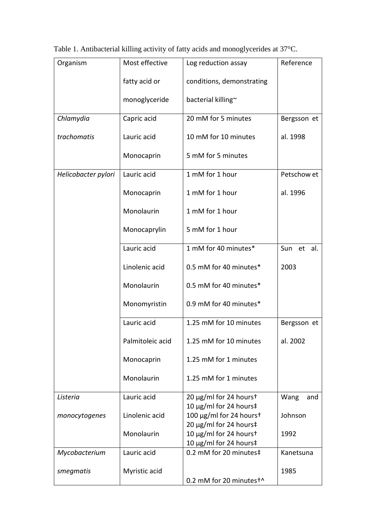| Organism            | Most effective   | Log reduction assay                                                         | Reference   |
|---------------------|------------------|-----------------------------------------------------------------------------|-------------|
|                     | fatty acid or    | conditions, demonstrating                                                   |             |
|                     | monoglyceride    | bacterial killing~                                                          |             |
| Chlamydia           | Capric acid      | 20 mM for 5 minutes                                                         | Bergsson et |
| trachomatis         | Lauric acid      | 10 mM for 10 minutes                                                        | al. 1998    |
|                     | Monocaprin       | 5 mM for 5 minutes                                                          |             |
| Helicobacter pylori | Lauric acid      | 1 mM for 1 hour                                                             | Petschow et |
|                     | Monocaprin       | 1 mM for 1 hour                                                             | al. 1996    |
|                     | Monolaurin       | 1 mM for 1 hour                                                             |             |
|                     | Monocaprylin     | 5 mM for 1 hour                                                             |             |
|                     | Lauric acid      | 1 mM for 40 minutes*                                                        | Sun et al.  |
|                     | Linolenic acid   | 0.5 mM for 40 minutes*                                                      | 2003        |
|                     | Monolaurin       | 0.5 mM for 40 minutes*                                                      |             |
|                     | Monomyristin     | 0.9 mM for 40 minutes*                                                      |             |
|                     | Lauric acid      | 1.25 mM for 10 minutes                                                      | Bergsson et |
|                     | Palmitoleic acid | 1.25 mM for 10 minutes                                                      | al. 2002    |
|                     | Monocaprin       | 1.25 mM for 1 minutes                                                       |             |
|                     | Monolaurin       | 1.25 mM for 1 minutes                                                       |             |
| Listeria            | Lauric acid      | 20 µg/ml for 24 hourst                                                      | Wang<br>and |
| monocytogenes       | Linolenic acid   | 10 µg/ml for 24 hours‡<br>100 µg/ml for 24 hourst<br>20 µg/ml for 24 hours‡ | Johnson     |
|                     | Monolaurin       | 10 µg/ml for 24 hourst<br>10 µg/ml for 24 hours‡                            | 1992        |
| Mycobacterium       | Lauric acid      | 0.2 mM for 20 minutes‡                                                      | Kanetsuna   |
| smegmatis           | Myristic acid    | 0.2 mM for 20 minutest^                                                     | 1985        |

Table 1. Antibacterial killing activity of fatty acids and monoglycerides at 37°C.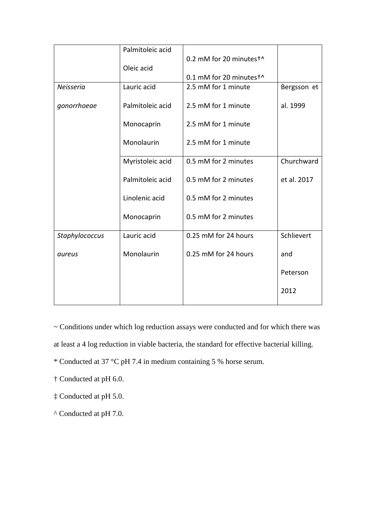|                | Palmitoleic acid |                         |             |
|----------------|------------------|-------------------------|-------------|
|                |                  | 0.2 mM for 20 minutest^ |             |
|                | Oleic acid       |                         |             |
|                |                  | 0.1 mM for 20 minutest^ |             |
| Neisseria      | Lauric acid      | 2.5 mM for 1 minute     | Bergsson et |
|                |                  |                         |             |
| gonorrhoeae    | Palmitoleic acid | 2.5 mM for 1 minute     | al. 1999    |
|                |                  |                         |             |
|                | Monocaprin       | 2.5 mM for 1 minute     |             |
|                |                  |                         |             |
|                | Monolaurin       | 2.5 mM for 1 minute     |             |
|                |                  |                         |             |
|                | Myristoleic acid | 0.5 mM for 2 minutes    | Churchward  |
|                |                  |                         |             |
|                | Palmitoleic acid | 0.5 mM for 2 minutes    | et al. 2017 |
|                |                  |                         |             |
|                | Linolenic acid   | 0.5 mM for 2 minutes    |             |
|                |                  |                         |             |
|                | Monocaprin       | 0.5 mM for 2 minutes    |             |
|                |                  |                         |             |
| Staphylococcus | Lauric acid      | 0.25 mM for 24 hours    | Schlievert  |
|                |                  |                         |             |
| aureus         | Monolaurin       | 0.25 mM for 24 hours    | and         |
|                |                  |                         | Peterson    |
|                |                  |                         |             |
|                |                  |                         | 2012        |
|                |                  |                         |             |
|                |                  |                         |             |

~ Conditions under which log reduction assays were conducted and for which there was

at least a 4 log reduction in viable bacteria, the standard for effective bacterial killing.

\* Conducted at 37 °C pH 7.4 in medium containing 5 % horse serum.

† Conducted at pH 6.0.

‡ Conducted at pH 5.0.

^ Conducted at pH 7.0.